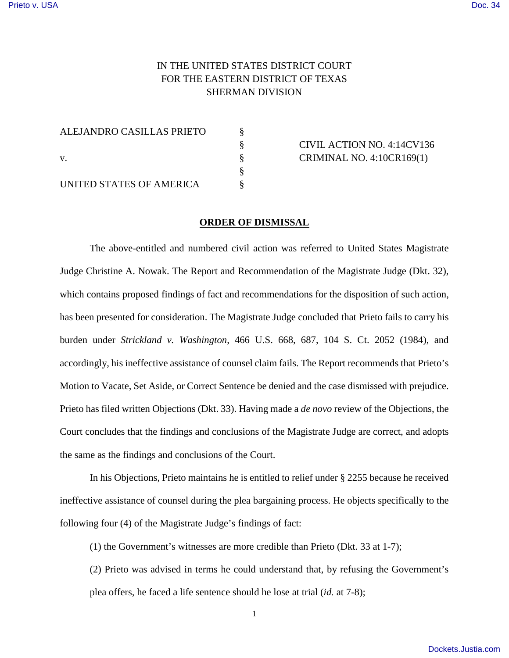## IN THE UNITED STATES DISTRICT COURT FOR THE EASTERN DISTRICT OF TEXAS SHERMAN DIVISION

ALEJANDRO CASILLAS PRIETO § v. § CRIMINAL NO. 4:10CR169(1)

§

UNITED STATES OF AMERICA  $\S$ 

§ CIVIL ACTION NO. 4:14CV136

## **ORDER OF DISMISSAL**

The above-entitled and numbered civil action was referred to United States Magistrate Judge Christine A. Nowak. The Report and Recommendation of the Magistrate Judge (Dkt. 32), which contains proposed findings of fact and recommendations for the disposition of such action, has been presented for consideration. The Magistrate Judge concluded that Prieto fails to carry his burden under *Strickland v. Washington*, 466 U.S. 668, 687, 104 S. Ct. 2052 (1984), and accordingly, his ineffective assistance of counsel claim fails. The Report recommends that Prieto's Motion to Vacate, Set Aside, or Correct Sentence be denied and the case dismissed with prejudice. Prieto has filed written Objections (Dkt. 33). Having made a *de novo* review of the Objections, the Court concludes that the findings and conclusions of the Magistrate Judge are correct, and adopts the same as the findings and conclusions of the Court.

In his Objections, Prieto maintains he is entitled to relief under § 2255 because he received ineffective assistance of counsel during the plea bargaining process. He objects specifically to the following four (4) of the Magistrate Judge's findings of fact:

(1) the Government's witnesses are more credible than Prieto (Dkt. 33 at 1-7);

(2) Prieto was advised in terms he could understand that, by refusing the Government's plea offers, he faced a life sentence should he lose at trial (*id.* at 7-8);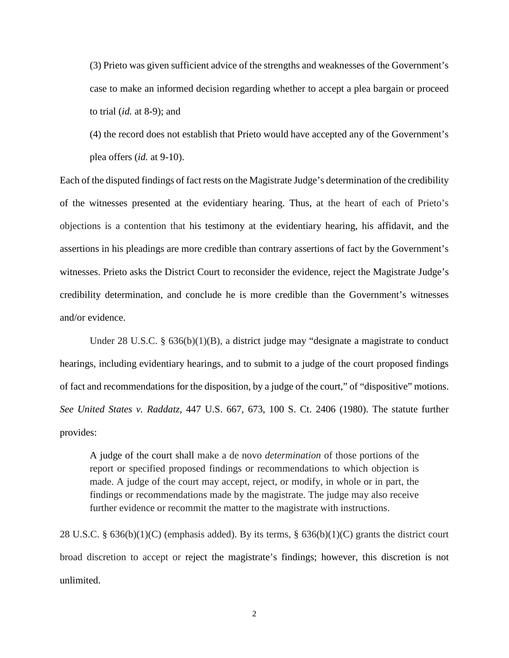(3) Prieto was given sufficient advice of the strengths and weaknesses of the Government's case to make an informed decision regarding whether to accept a plea bargain or proceed to trial (*id.* at 8-9); and

(4) the record does not establish that Prieto would have accepted any of the Government's plea offers (*id.* at 9-10).

Each of the disputed findings of fact rests on the Magistrate Judge's determination of the credibility of the witnesses presented at the evidentiary hearing. Thus, at the heart of each of Prieto's objections is a contention that his testimony at the evidentiary hearing, his affidavit, and the assertions in his pleadings are more credible than contrary assertions of fact by the Government's witnesses. Prieto asks the District Court to reconsider the evidence, reject the Magistrate Judge's credibility determination, and conclude he is more credible than the Government's witnesses and/or evidence.

Under 28 U.S.C. § 636(b)(1)(B), a district judge may "designate a magistrate to conduct hearings, including evidentiary hearings, and to submit to a judge of the court proposed findings of fact and recommendations for the disposition, by a judge of the court," of "dispositive" motions. *See United States v. Raddatz*, 447 U.S. 667, 673, 100 S. Ct. 2406 (1980). The statute further provides:

A judge of the court shall make a de novo *determination* of those portions of the report or specified proposed findings or recommendations to which objection is made. A judge of the court may accept, reject, or modify, in whole or in part, the findings or recommendations made by the magistrate. The judge may also receive further evidence or recommit the matter to the magistrate with instructions.

28 U.S.C. § 636(b)(1)(C) (emphasis added). By its terms, § 636(b)(1)(C) grants the district court broad discretion to accept or reject the magistrate's findings; however, this discretion is not unlimited.

2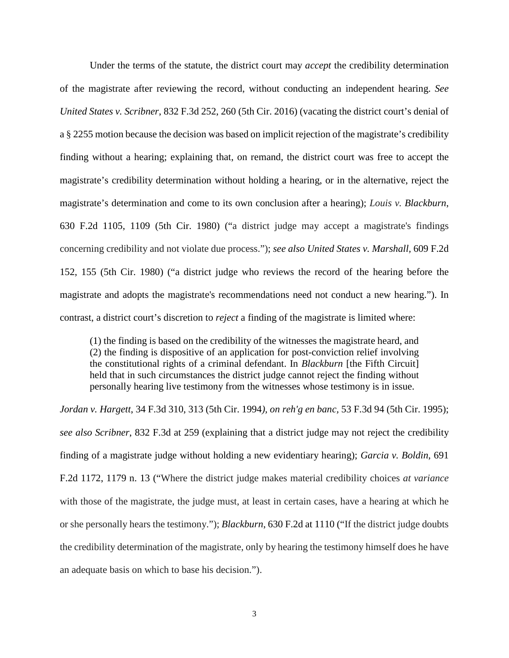Under the terms of the statute, the district court may *accept* the credibility determination of the magistrate after reviewing the record, without conducting an independent hearing. *See United States v. Scribner*, 832 F.3d 252, 260 (5th Cir. 2016) (vacating the district court's denial of a § 2255 motion because the decision was based on implicit rejection of the magistrate's credibility finding without a hearing; explaining that, on remand, the district court was free to accept the magistrate's credibility determination without holding a hearing, or in the alternative, reject the magistrate's determination and come to its own conclusion after a hearing); *Louis v. Blackburn*, 630 F.2d 1105, 1109 (5th Cir. 1980) ("a district judge may accept a magistrate's findings concerning credibility and not violate due process."); *see also United States v. Marshall,* 609 F.2d 152, 155 (5th Cir. 1980) ("a district judge who reviews the record of the hearing before the magistrate and adopts the magistrate's recommendations need not conduct a new hearing."). In contrast, a district court's discretion to *reject* a finding of the magistrate is limited where:

(1) the finding is based on the credibility of the witnesses the magistrate heard, and (2) the finding is dispositive of an application for post-conviction relief involving the constitutional rights of a criminal defendant. In *Blackburn* [the Fifth Circuit] held that in such circumstances the district judge cannot reject the finding without personally hearing live testimony from the witnesses whose testimony is in issue.

*Jordan v. Hargett*, 34 F.3d 310, 313 (5th Cir. 1994*), on reh'g en banc,* 53 F.3d 94 (5th Cir. 1995); *see also Scribner*, 832 F.3d at 259 (explaining that a district judge may not reject the credibility finding of a magistrate judge without holding a new evidentiary hearing); *Garcia v. Boldin*, 691 F.2d 1172, 1179 n. 13 ("Where the district judge makes material credibility choices *at variance* with those of the magistrate, the judge must, at least in certain cases, have a hearing at which he or she personally hears the testimony."); *Blackburn*, 630 F.2d at 1110 ("If the district judge doubts the credibility determination of the magistrate, only by hearing the testimony himself does he have an adequate basis on which to base his decision.").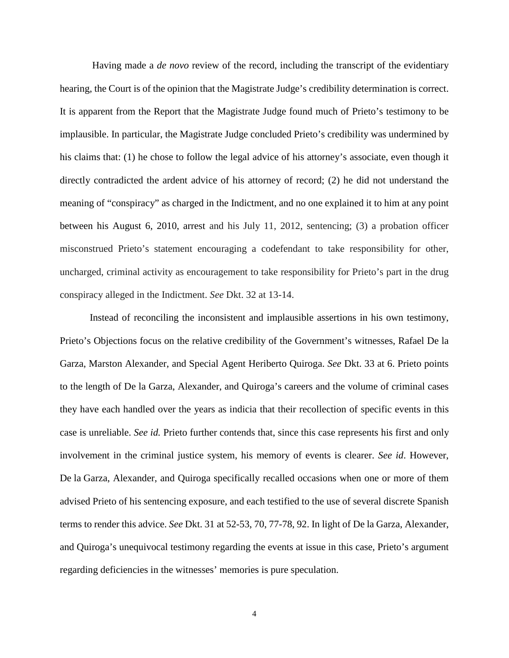Having made a *de novo* review of the record, including the transcript of the evidentiary hearing, the Court is of the opinion that the Magistrate Judge's credibility determination is correct. It is apparent from the Report that the Magistrate Judge found much of Prieto's testimony to be implausible. In particular, the Magistrate Judge concluded Prieto's credibility was undermined by his claims that: (1) he chose to follow the legal advice of his attorney's associate, even though it directly contradicted the ardent advice of his attorney of record; (2) he did not understand the meaning of "conspiracy" as charged in the Indictment, and no one explained it to him at any point between his August 6, 2010, arrest and his July 11, 2012, sentencing; (3) a probation officer misconstrued Prieto's statement encouraging a codefendant to take responsibility for other, uncharged, criminal activity as encouragement to take responsibility for Prieto's part in the drug conspiracy alleged in the Indictment. *See* Dkt. 32 at 13-14.

Instead of reconciling the inconsistent and implausible assertions in his own testimony, Prieto's Objections focus on the relative credibility of the Government's witnesses, Rafael De la Garza, Marston Alexander, and Special Agent Heriberto Quiroga. *See* Dkt. 33 at 6. Prieto points to the length of De la Garza, Alexander, and Quiroga's careers and the volume of criminal cases they have each handled over the years as indicia that their recollection of specific events in this case is unreliable. *See id.* Prieto further contends that, since this case represents his first and only involvement in the criminal justice system, his memory of events is clearer. *See id*. However, De la Garza, Alexander, and Quiroga specifically recalled occasions when one or more of them advised Prieto of his sentencing exposure, and each testified to the use of several discrete Spanish terms to render this advice. *See* Dkt. 31 at 52-53, 70, 77-78, 92. In light of De la Garza, Alexander, and Quiroga's unequivocal testimony regarding the events at issue in this case, Prieto's argument regarding deficiencies in the witnesses' memories is pure speculation.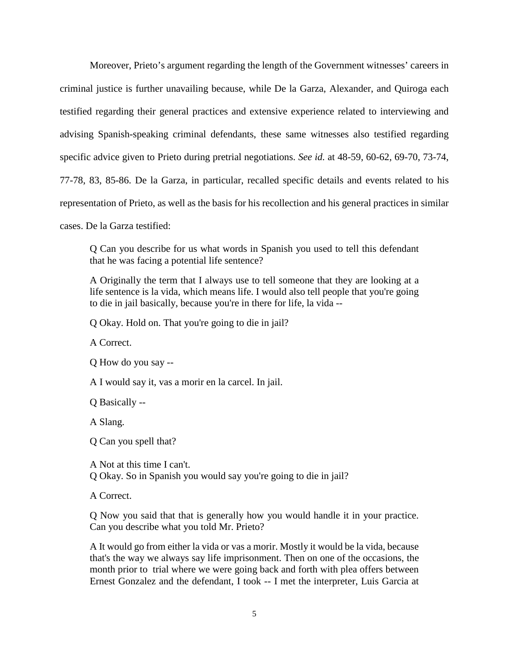Moreover, Prieto's argument regarding the length of the Government witnesses' careers in criminal justice is further unavailing because, while De la Garza, Alexander, and Quiroga each testified regarding their general practices and extensive experience related to interviewing and advising Spanish-speaking criminal defendants, these same witnesses also testified regarding specific advice given to Prieto during pretrial negotiations. *See id.* at 48-59, 60-62, 69-70, 73-74, 77-78, 83, 85-86. De la Garza, in particular, recalled specific details and events related to his representation of Prieto, as well as the basis for his recollection and his general practices in similar

cases. De la Garza testified:

Q Can you describe for us what words in Spanish you used to tell this defendant that he was facing a potential life sentence?

A Originally the term that I always use to tell someone that they are looking at a life sentence is la vida, which means life. I would also tell people that you're going to die in jail basically, because you're in there for life, la vida --

Q Okay. Hold on. That you're going to die in jail?

A Correct.

Q How do you say --

A I would say it, vas a morir en la carcel. In jail.

Q Basically --

A Slang.

Q Can you spell that?

A Not at this time I can't. Q Okay. So in Spanish you would say you're going to die in jail?

A Correct.

Q Now you said that that is generally how you would handle it in your practice. Can you describe what you told Mr. Prieto?

A It would go from either la vida or vas a morir. Mostly it would be la vida, because that's the way we always say life imprisonment. Then on one of the occasions, the month prior to trial where we were going back and forth with plea offers between Ernest Gonzalez and the defendant, I took -- I met the interpreter, Luis Garcia at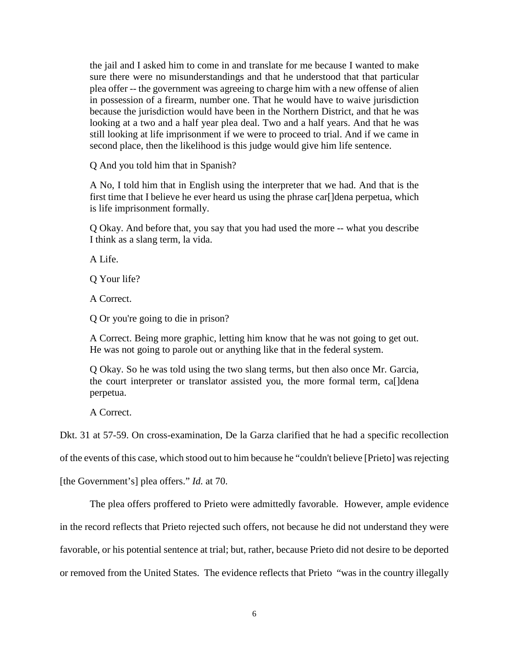the jail and I asked him to come in and translate for me because I wanted to make sure there were no misunderstandings and that he understood that that particular plea offer -- the government was agreeing to charge him with a new offense of alien in possession of a firearm, number one. That he would have to waive jurisdiction because the jurisdiction would have been in the Northern District, and that he was looking at a two and a half year plea deal. Two and a half years. And that he was still looking at life imprisonment if we were to proceed to trial. And if we came in second place, then the likelihood is this judge would give him life sentence.

Q And you told him that in Spanish?

A No, I told him that in English using the interpreter that we had. And that is the first time that I believe he ever heard us using the phrase car[]dena perpetua, which is life imprisonment formally.

Q Okay. And before that, you say that you had used the more -- what you describe I think as a slang term, la vida.

A Life.

Q Your life?

A Correct.

Q Or you're going to die in prison?

A Correct. Being more graphic, letting him know that he was not going to get out. He was not going to parole out or anything like that in the federal system.

Q Okay. So he was told using the two slang terms, but then also once Mr. Garcia, the court interpreter or translator assisted you, the more formal term, ca[]dena perpetua.

A Correct.

Dkt. 31 at 57-59. On cross-examination, De la Garza clarified that he had a specific recollection

of the events of this case, which stood out to him because he "couldn't believe [Prieto] was rejecting

[the Government's] plea offers." *Id.* at 70.

The plea offers proffered to Prieto were admittedly favorable. However, ample evidence

in the record reflects that Prieto rejected such offers, not because he did not understand they were

favorable, or his potential sentence at trial; but, rather, because Prieto did not desire to be deported

or removed from the United States. The evidence reflects that Prieto "was in the country illegally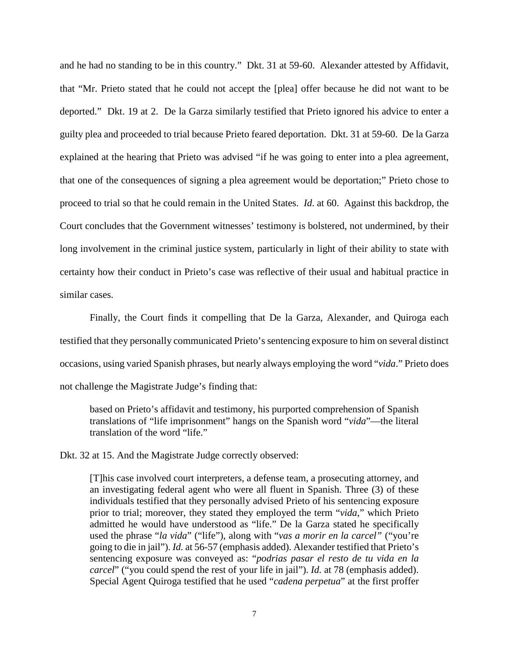and he had no standing to be in this country." Dkt. 31 at 59-60. Alexander attested by Affidavit, that "Mr. Prieto stated that he could not accept the [plea] offer because he did not want to be deported." Dkt. 19 at 2. De la Garza similarly testified that Prieto ignored his advice to enter a guilty plea and proceeded to trial because Prieto feared deportation. Dkt. 31 at 59-60. De la Garza explained at the hearing that Prieto was advised "if he was going to enter into a plea agreement, that one of the consequences of signing a plea agreement would be deportation;" Prieto chose to proceed to trial so that he could remain in the United States. *Id*. at 60. Against this backdrop, the Court concludes that the Government witnesses' testimony is bolstered, not undermined, by their long involvement in the criminal justice system, particularly in light of their ability to state with certainty how their conduct in Prieto's case was reflective of their usual and habitual practice in similar cases.

Finally, the Court finds it compelling that De la Garza, Alexander, and Quiroga each testified that they personally communicated Prieto's sentencing exposure to him on several distinct occasions, using varied Spanish phrases, but nearly always employing the word "*vida*." Prieto does not challenge the Magistrate Judge's finding that:

based on Prieto's affidavit and testimony, his purported comprehension of Spanish translations of "life imprisonment" hangs on the Spanish word "*vida*"—the literal translation of the word "life."

Dkt. 32 at 15. And the Magistrate Judge correctly observed:

[T]his case involved court interpreters, a defense team, a prosecuting attorney, and an investigating federal agent who were all fluent in Spanish. Three (3) of these individuals testified that they personally advised Prieto of his sentencing exposure prior to trial; moreover, they stated they employed the term "*vida*," which Prieto admitted he would have understood as "life." De la Garza stated he specifically used the phrase "*la vida*" ("life"), along with "*vas a morir en la carcel"* ("you're going to die in jail"). *Id.* at 56-57 (emphasis added). Alexander testified that Prieto's sentencing exposure was conveyed as: "*podrias pasar el resto de tu vida en la carcel*" ("you could spend the rest of your life in jail"). *Id.* at 78 (emphasis added). Special Agent Quiroga testified that he used "*cadena perpetua*" at the first proffer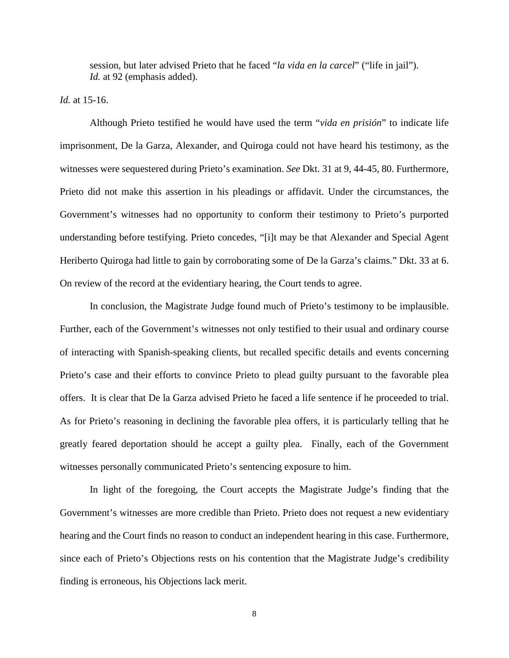session, but later advised Prieto that he faced "*la vida en la carcel*" ("life in jail"). *Id.* at 92 (emphasis added).

*Id.* at 15-16.

Although Prieto testified he would have used the term "*vida en prisión*" to indicate life imprisonment, De la Garza, Alexander, and Quiroga could not have heard his testimony, as the witnesses were sequestered during Prieto's examination. *See* Dkt. 31 at 9, 44-45, 80. Furthermore, Prieto did not make this assertion in his pleadings or affidavit. Under the circumstances, the Government's witnesses had no opportunity to conform their testimony to Prieto's purported understanding before testifying. Prieto concedes, "[i]t may be that Alexander and Special Agent Heriberto Quiroga had little to gain by corroborating some of De la Garza's claims." Dkt. 33 at 6. On review of the record at the evidentiary hearing, the Court tends to agree.

In conclusion, the Magistrate Judge found much of Prieto's testimony to be implausible. Further, each of the Government's witnesses not only testified to their usual and ordinary course of interacting with Spanish-speaking clients, but recalled specific details and events concerning Prieto's case and their efforts to convince Prieto to plead guilty pursuant to the favorable plea offers. It is clear that De la Garza advised Prieto he faced a life sentence if he proceeded to trial. As for Prieto's reasoning in declining the favorable plea offers, it is particularly telling that he greatly feared deportation should he accept a guilty plea. Finally, each of the Government witnesses personally communicated Prieto's sentencing exposure to him.

In light of the foregoing, the Court accepts the Magistrate Judge's finding that the Government's witnesses are more credible than Prieto. Prieto does not request a new evidentiary hearing and the Court finds no reason to conduct an independent hearing in this case. Furthermore, since each of Prieto's Objections rests on his contention that the Magistrate Judge's credibility finding is erroneous, his Objections lack merit.